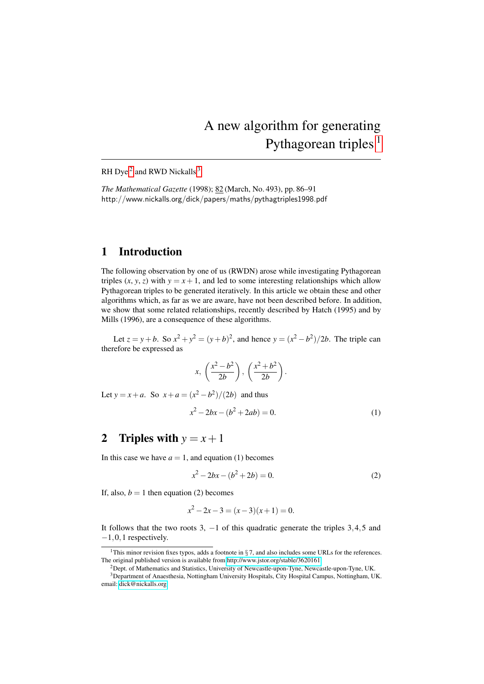# A new algorithm for generating Pythagorean triples<sup>1</sup>

RH Dye<sup>2</sup> and RWD Nickalls<sup>3</sup>

*The Mathematical Gazette* (1998); 82 (March, No. 493), pp. 86–91 http://www.nickalls.org/dick/papers/maths/pythagtriples1998.pdf

#### 1 Introduction

The following observation by one of us (RWDN) arose while investigating Pythagorean triples  $(x, y, z)$  with  $y = x + 1$ , and led to some interesting relationships which allow Pythagorean triples to be generated iteratively. In this article we obtain these and other algorithms which, as far as we are aware, have not been described before. In addition, we show that some related relationships, recently described by Hatch (1995) and by Mills (1996), are a consequence of these algorithms.

Let  $z = y + b$ . So  $x^2 + y^2 = (y + b)^2$ , and hence  $y = (x^2 - b^2)/2b$ . The triple can therefore be expressed as

$$
x, \left(\frac{x^2-b^2}{2b}\right), \left(\frac{x^2+b^2}{2b}\right).
$$

Let  $y = x + a$ . So  $x + a = (x^2 - b^2)/(2b)$  and thus

$$
x^2 - 2bx - (b^2 + 2ab) = 0.
$$
 (1)

## 2 Triples with  $y = x + 1$

In this case we have  $a = 1$ , and equation (1) becomes

$$
x^2 - 2bx - (b^2 + 2b) = 0.
$$
 (2)

If, also,  $b = 1$  then equation (2) becomes

$$
x^2 - 2x - 3 = (x - 3)(x + 1) = 0.
$$

It follows that the two roots 3,  $-1$  of this quadratic generate the triples 3,4,5 and −1,0,1 respectively.

<sup>&</sup>lt;sup>1</sup>This minor revision fixes typos, adds a footnote in  $\S$  7, and also includes some URLs for the references. The original published version is available from<http://www.jstor.org/stable/3620161>

<sup>&</sup>lt;sup>2</sup>Dept. of Mathematics and Statistics, University of Newcastle-upon-Tyne, Newcastle-upon-Tyne, UK. <sup>3</sup>Department of Anaesthesia, Nottingham University Hospitals, City Hospital Campus, Nottingham, UK. email: [dick@nickalls.org](mailto:dick@nickalls.org)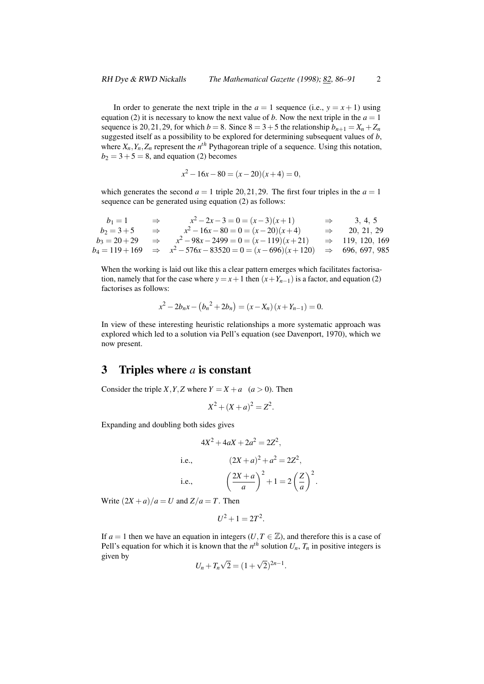In order to generate the next triple in the  $a = 1$  sequence (i.e.,  $y = x + 1$ ) using equation (2) it is necessary to know the next value of *b*. Now the next triple in the  $a = 1$ sequence is 20, 21, 29, for which  $b = 8$ . Since  $8 = 3 + 5$  the relationship  $b_{n+1} = X_n + Z_n$ suggested itself as a possibility to be explored for determining subsequent values of *b*, where  $X_n, Y_n, Z_n$  represent the  $n^{th}$  Pythagorean triple of a sequence. Using this notation,  $b_2 = 3 + 5 = 8$ , and equation (2) becomes

$$
x^2 - 16x - 80 = (x - 20)(x + 4) = 0,
$$

which generates the second  $a = 1$  triple 20, 21, 29. The first four triples in the  $a = 1$ sequence can be generated using equation (2) as follows:

| $b_1 = 1$     | $\Rightarrow$ | $x^2-2x-3=0=(x-3)(x+1)$                                                                             | $\Rightarrow$ 3, 4, 5       |
|---------------|---------------|-----------------------------------------------------------------------------------------------------|-----------------------------|
| $b_2 = 3 + 5$ | $\Rightarrow$ | $x^2-16x-80=0=(x-20)(x+4)$                                                                          | $\Rightarrow$ 20, 21, 29    |
|               |               | $b_3 = 20 + 29$ $\Rightarrow$ $x^2 - 98x - 2499 = 0 = (x - 119)(x + 21)$                            | $\Rightarrow$ 119, 120, 169 |
|               |               | $b_4 = 119 + 169 \Rightarrow x^2 - 576x - 83520 = 0 = (x - 696)(x + 120) \Rightarrow 696, 697, 985$ |                             |

When the working is laid out like this a clear pattern emerges which facilitates factorisation, namely that for the case where  $y = x + 1$  then  $(x + Y_{n-1})$  is a factor, and equation (2) factorises as follows:

$$
x^{2}-2b_{n}x-(b_{n}^{2}+2b_{n})=(x-X_{n})(x+Y_{n-1})=0.
$$

In view of these interesting heuristic relationships a more systematic approach was explored which led to a solution via Pell's equation (see Davenport, 1970), which we now present.

## 3 Triples where *a* is constant

Consider the triple *X*, *Y*, *Z* where  $Y = X + a$  (*a* > 0). Then

$$
X^2 + (X + a)^2 = Z^2.
$$

Expanding and doubling both sides gives

$$
4X^{2} + 4aX + 2a^{2} = 2Z^{2},
$$
  
i.e., 
$$
(2X + a)^{2} + a^{2} = 2Z^{2},
$$
  
i.e., 
$$
\left(\frac{2X + a}{a}\right)^{2} + 1 = 2\left(\frac{Z}{a}\right)^{2}.
$$

Write  $(2X + a)/a = U$  and  $Z/a = T$ . Then

$$
U^2+1=2T^2.
$$

If  $a = 1$  then we have an equation in integers (*U*,  $T \in \mathbb{Z}$ ), and therefore this is a case of Pell's equation for which it is known that the  $n^{th}$  solution  $U_n$ ,  $T_n$  in positive integers is given by √ √

$$
U_n + T_n \sqrt{2} = (1 + \sqrt{2})^{2n-1}.
$$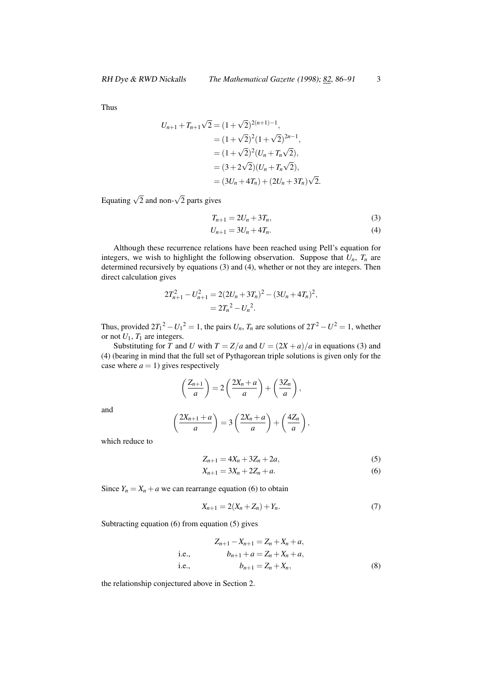Thus

$$
U_{n+1} + T_{n+1}\sqrt{2} = (1+\sqrt{2})^{2(n+1)-1},
$$
  
=  $(1+\sqrt{2})^2(1+\sqrt{2})^{2n-1},$   
=  $(1+\sqrt{2})^2(U_n+T_n\sqrt{2}),$   
=  $(3+2\sqrt{2})(U_n+T_n\sqrt{2}),$   
=  $(3U_n+4T_n)+(2U_n+3T_n)\sqrt{2}.$ 

Equating  $\sqrt{2}$  and non- $\sqrt{2}$  parts gives

$$
T_{n+1} = 2U_n + 3T_n, \t\t(3)
$$

$$
U_{n+1} = 3U_n + 4T_n. \tag{4}
$$

Although these recurrence relations have been reached using Pell's equation for integers, we wish to highlight the following observation. Suppose that  $U_n$ ,  $T_n$  are determined recursively by equations (3) and (4), whether or not they are integers. Then direct calculation gives

$$
2T_{n+1}^2 - U_{n+1}^2 = 2(2U_n + 3T_n)^2 - (3U_n + 4T_n)^2,
$$
  
=  $2T_n^2 - U_n^2$ .

Thus, provided  $2T_1^2 - U_1^2 = 1$ , the pairs  $U_n$ ,  $T_n$  are solutions of  $2T^2 - U^2 = 1$ , whether or not  $U_1$ ,  $T_1$  are integers.

Substituting for *T* and *U* with  $T = Z/a$  and  $U = (2X + a)/a$  in equations (3) and (4) (bearing in mind that the full set of Pythagorean triple solutions is given only for the case where  $a = 1$ ) gives respectively

$$
\left(\frac{Z_{n+1}}{a}\right) = 2\left(\frac{2X_n + a}{a}\right) + \left(\frac{3Z_n}{a}\right),
$$

and

$$
\left(\frac{2X_{n+1}+a}{a}\right)=3\left(\frac{2X_n+a}{a}\right)+\left(\frac{4Z_n}{a}\right),
$$

which reduce to

$$
Z_{n+1} = 4X_n + 3Z_n + 2a,\t\t(5)
$$

$$
X_{n+1} = 3X_n + 2Z_n + a.
$$
 (6)

Since  $Y_n = X_n + a$  we can rearrange equation (6) to obtain

$$
X_{n+1} = 2(X_n + Z_n) + Y_n.
$$
 (7)

Subtracting equation (6) from equation (5) gives

$$
Z_{n+1} - X_{n+1} = Z_n + X_n + a,
$$
  
i.e., 
$$
b_{n+1} + a = Z_n + X_n + a,
$$
  
i.e., 
$$
b_{n+1} = Z_n + X_n,
$$
 (8)

the relationship conjectured above in Section 2.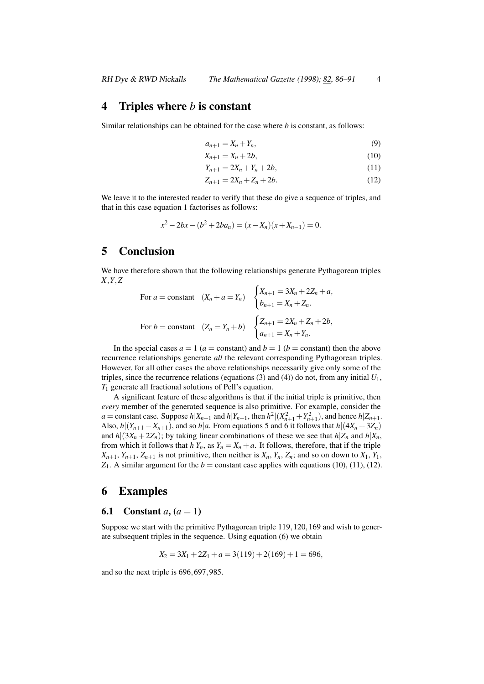#### 4 Triples where *b* is constant

Similar relationships can be obtained for the case where *b* is constant, as follows:

$$
a_{n+1} = X_n + Y_n,\tag{9}
$$

$$
X_{n+1} = X_n + 2b,\t\t(10)
$$

$$
Y_{n+1} = 2X_n + Y_n + 2b,\tag{11}
$$

$$
Z_{n+1} = 2X_n + Z_n + 2b. \tag{12}
$$

We leave it to the interested reader to verify that these do give a sequence of triples, and that in this case equation 1 factorises as follows:

$$
x^{2}-2bx-(b^{2}+2ba_{n})=(x-X_{n})(x+X_{n-1})=0.
$$

### 5 Conclusion

We have therefore shown that the following relationships generate Pythagorean triples *X*,*Y*,*Z*

For 
$$
a = \text{constant}
$$
  $(X_n + a = Y_n)$  
$$
\begin{cases} X_{n+1} = 3X_n + 2Z_n + a, \\ b_{n+1} = X_n + Z_n. \end{cases}
$$
  
For  $b = \text{constant}$   $(Z_n = Y_n + b)$  
$$
\begin{cases} Z_{n+1} = 2X_n + Z_n + 2b, \\ a_{n+1} = X_n + Y_n. \end{cases}
$$

In the special cases  $a = 1$  ( $a =$  constant) and  $b = 1$  ( $b =$  constant) then the above recurrence relationships generate *all* the relevant corresponding Pythagorean triples. However, for all other cases the above relationships necessarily give only some of the triples, since the recurrence relations (equations  $(3)$  and  $(4)$ ) do not, from any initial  $U_1$ , *T*<sup>1</sup> generate all fractional solutions of Pell's equation.

A significant feature of these algorithms is that if the initial triple is primitive, then *every* member of the generated sequence is also primitive. For example, consider the  $a = \text{constant case. Suppose } h|X_{n+1} \text{ and } h|Y_{n+1}, \text{ then } h^2|(X_{n+1}^2 + Y_{n+1}^2)$ , and hence  $h|Z_{n+1}$ . Also,  $h|(Y_{n+1}-X_{n+1})$ , and so  $h|a$ . From equations 5 and 6 it follows that  $h|(4X_n+3Z_n)$ and  $h|(3X_n+2Z_n)$ ; by taking linear combinations of these we see that  $h|Z_n$  and  $h|X_n$ , from which it follows that  $h|Y_n$ , as  $Y_n = X_n + a$ . It follows, therefore, that if the triple  $X_{n+1}$ ,  $Y_{n+1}$ ,  $Z_{n+1}$  is <u>not</u> primitive, then neither is  $X_n$ ,  $Y_n$ ,  $Z_n$ ; and so on down to  $X_1$ ,  $Y_1$ ,  $Z_1$ . A similar argument for the  $b =$  constant case applies with equations (10), (11), (12).

#### 6 Examples

#### **6.1** Constant *a*,  $(a = 1)$

Suppose we start with the primitive Pythagorean triple 119,120,169 and wish to generate subsequent triples in the sequence. Using equation (6) we obtain

$$
X_2 = 3X_1 + 2Z_1 + a = 3(119) + 2(169) + 1 = 696,
$$

and so the next triple is 696,697,985.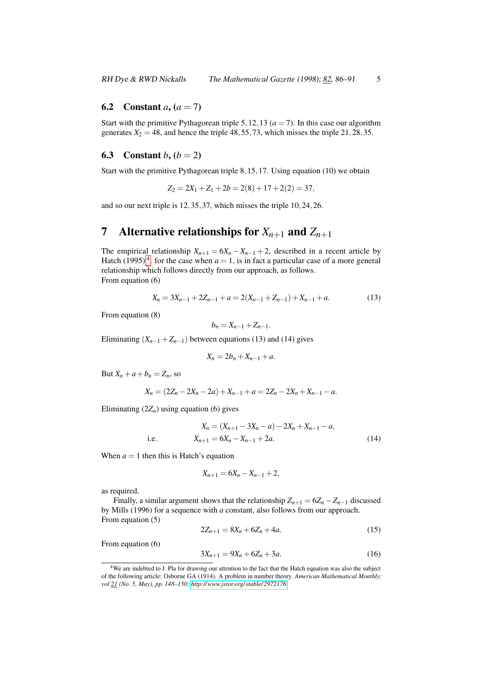#### **6.2** Constant *a*,  $(a = 7)$

Start with the primitive Pythagorean triple 5, 12, 13 ( $a = 7$ ). In this case our algorithm generates  $X_2 = 48$ , and hence the triple  $48, 55, 73$ , which misses the triple  $21, 28, 35$ .

#### **6.3** Constant  $b, (b = 2)$

Start with the primitive Pythagorean triple 8,15,17. Using equation (10) we obtain

$$
Z_2 = 2X_1 + Z_1 + 2b = 2(8) + 17 + 2(2) = 37,
$$

and so our next triple is 12,35,37, which misses the triple 10,24,26.

# 7 Alternative relationships for  $X_{n+1}$  and  $Z_{n+1}$

The empirical relationship  $X_{n+1} = 6X_n - X_{n-1} + 2$ , described in a recent article by Hatch (1995)<sup>4</sup>. for the case when  $a = 1$ , is in fact a particular case of a more general relationship which follows directly from our approach, as follows. From equation (6)

$$
X_n = 3X_{n-1} + 2Z_{n-1} + a = 2(X_{n-1} + Z_{n-1}) + X_{n-1} + a.
$$
 (13)

From equation (8)

$$
b_n=X_{n-1}+Z_{n-1}.
$$

Eliminating  $(X_{n-1} + Z_{n-1})$  between equations (13) and (14) gives

$$
X_n = 2b_n + X_{n-1} + a.
$$

But  $X_n + a + b_n = Z_n$ , so

$$
X_n = (2Z_n - 2X_n - 2a) + X_{n-1} + a = 2Z_n - 2X_n + X_{n-1} - a.
$$

Eliminating  $(2Z_n)$  using equation (6) gives

i.e. 
$$
X_n = (X_{n+1} - 3X_n - a) - 2X_n + X_{n-1} - a,
$$

$$
X_{n+1} = 6X_n - X_{n-1} + 2a.
$$
 (14)

When  $a = 1$  then this is Hatch's equation

$$
X_{n+1} = 6X_n - X_{n-1} + 2,
$$

as required.

Finally, a similar argument shows that the relationship  $Z_{n+1} = 6Z_n - Z_{n-1}$  discussed by Mills (1996) for a sequence with *a* constant, also follows from our approach. From equation (5)

$$
2Z_{n+1} = 8X_n + 6Z_n + 4a. \tag{15}
$$

From equation (6)

$$
3X_{n+1} = 9X_n + 6Z_n + 3a. \tag{16}
$$

<sup>&</sup>lt;sup>4</sup>We are indebted to J. Pla for drawing our attention to the fact that the Hatch equation was also the subject of the following article: Osborne GA (1914). A problem in number theory. *American Mathematical Monthly; vol 21 (No. 5, May), pp. 148–150; [http://www.jstor.org/ stable/ 2972176](http://www.jstor.org/stable/2972176)*